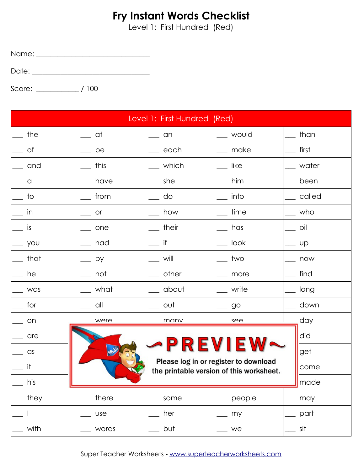Level 1: First Hundred (Red)

Name: \_\_\_\_\_\_\_\_\_\_\_\_\_\_\_\_\_\_\_\_\_\_\_\_\_\_\_\_\_\_\_\_

Date: \_\_\_\_\_\_\_\_\_\_\_\_\_\_\_\_\_\_\_\_\_\_\_\_\_\_\_\_\_\_\_\_\_

|              |            | Level 1: First Hundred (Red) |                                                                                   |            |
|--------------|------------|------------------------------|-----------------------------------------------------------------------------------|------------|
| the          | __ at      | $\equiv$ and                 | __ would                                                                          | than       |
| 0f           | be         | $\equiv$ each                | __ make                                                                           | first      |
| $\equiv$ and | this       | __ which                     | like                                                                              | $\_$ water |
| $\equiv$ a   | have       | $\equiv$ she                 | him                                                                               | been       |
| to           | from       | do                           | into                                                                              | called     |
| in           | <b>or</b>  | how                          | time                                                                              | who        |
| is           | one        | $\_$ their                   | has                                                                               | oil        |
| you          | had        | if                           | look                                                                              | <b>UP</b>  |
| $\_$ that    | by         | will                         | two                                                                               | now        |
| he           | not        | $\_$ other                   | more                                                                              | find       |
| . was        | what       | about                        | write                                                                             | long       |
| for          | all        | $\_$ out                     | $-90$                                                                             | down       |
| on           | were       | many                         | SAA                                                                               | day        |
| are          |            |                              |                                                                                   | did        |
| $\equiv$ as  |            | <b>-PREVIEW</b>              |                                                                                   | get        |
| it           |            |                              | Please log in or register to download<br>the printable version of this worksheet. | come       |
| his          |            |                              |                                                                                   | made       |
| they         | there      | some                         | people                                                                            | may        |
|              | <b>use</b> | her                          | my                                                                                | part       |
| with         | words      | but                          | we                                                                                | sit        |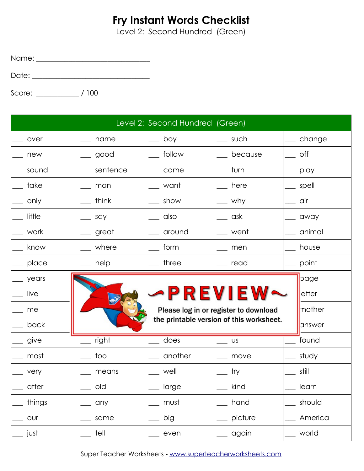Level 2: Second Hundred (Green)

Name: \_\_\_\_\_\_\_\_\_\_\_\_\_\_\_\_\_\_\_\_\_\_\_\_\_\_\_\_\_\_\_\_

Date: \_\_\_\_\_\_\_\_\_\_\_\_\_\_\_\_\_\_\_\_\_\_\_\_\_\_\_\_\_\_\_\_\_

|         |          | Level 2: Second Hundred (Green) |                                          |         |
|---------|----------|---------------------------------|------------------------------------------|---------|
| over    | name     | boy                             | such                                     | change  |
| new     | good     | _ follow                        | because                                  | off     |
| sound   | sentence | came                            | turn                                     | play    |
| take    | man      | want                            | here                                     | spell   |
| only    | think    | show                            | why_                                     | air     |
| little  | say      | also                            | ask –                                    | away    |
| work    | great    | around                          | went                                     | animal  |
| know    | where    | form                            | $\_$ men                                 | house   |
| _ place | help     | three                           | $\_$ read                                | point   |
| years   |          |                                 |                                          | page    |
| live    |          |                                 | -PREVIEW·                                | etter   |
| me      |          |                                 | Please log in or register to download    | mother  |
| back    |          |                                 | the printable version of this worksheet. | answer  |
| give    | right    | does                            | US                                       | found   |
| most    | too      | another                         | move                                     | study   |
| very    | means    | well                            | try                                      | still   |
| after   | old      | large                           | kind                                     | learn   |
| things  | any      | must                            | hand                                     | should  |
| our     | same     | big                             | picture                                  | America |
| just    | tell     | even                            | again                                    | world   |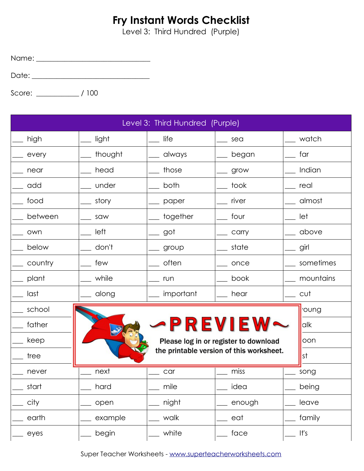Level 3: Third Hundred (Purple)

Name: \_\_\_\_\_\_\_\_\_\_\_\_\_\_\_\_\_\_\_\_\_\_\_\_\_\_\_\_\_\_\_\_

Date: \_\_\_\_\_\_\_\_\_\_\_\_\_\_\_\_\_\_\_\_\_\_\_\_\_\_\_\_\_\_\_\_\_

Score: \_\_\_\_\_\_\_\_\_\_\_\_ / 100

| Level 3: Third Hundred (Purple) |         |           |                                          |           |
|---------------------------------|---------|-----------|------------------------------------------|-----------|
| high                            | light   | life      | sea                                      | watch     |
| every                           | thought | always    | began                                    | far       |
| near                            | head    | those     | grow                                     | Indian    |
| add                             | under   | both      | took                                     | real      |
| food                            | story   | paper     | river                                    | almost    |
| between                         | saw     | together  | four                                     | let       |
| own                             | left    | got       | carry                                    | above     |
| below                           | don't   | group     | state                                    | girl      |
| country                         | few     | often     | once                                     | sometimes |
| plant                           | while   | run       | book                                     | mountains |
| last                            | along   | important | hear                                     | cut       |
| school                          |         |           |                                          | oung      |
| father                          |         |           | PREVIEW                                  | alk       |
| keep                            |         |           | Please log in or register to download    | oon       |
| tree                            |         |           | the printable version of this worksheet. | st        |
| never                           | next    | car       | miss                                     | song      |
| start                           | hard    | mile      | idea                                     | being     |
| city                            | open    | night     | enough                                   | leave     |
| earth                           | example | walk      | eat                                      | family    |
| eyes                            | begin   | white     | face                                     | It's      |

Super Teacher Worksheets - [www.superteacherworksheets.com](http://www.superteacherworksheets.com/)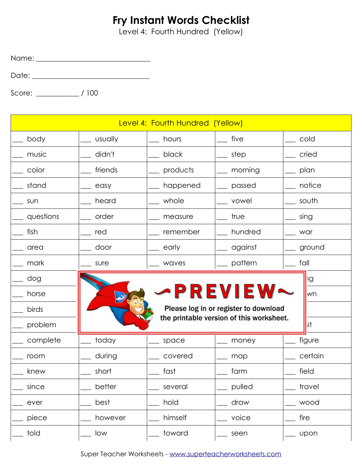Level 4: Fourth Hundred (Yellow)

Name: \_\_\_\_\_\_\_\_\_\_\_\_\_\_\_\_\_\_\_\_\_\_\_\_\_\_\_\_\_\_\_\_

Date: \_\_\_\_\_\_\_\_\_\_\_\_\_\_\_\_\_\_\_\_\_\_\_\_\_\_\_\_\_\_\_\_\_

|           |         | Level 4: Fourth Hundred (Yellow) |                                          |         |
|-----------|---------|----------------------------------|------------------------------------------|---------|
| body      | usually | hours                            | five                                     | cold    |
| music     | didn't  | black                            | step                                     | cried   |
| color     | friends | products                         | morning                                  | plan    |
| stand     | easy    | happened                         | passed                                   | notice  |
| sun       | heard   | whole                            | vowel                                    | south   |
| questions | order   | measure                          | true                                     | sing    |
| fish      | red     | remember                         | hundred                                  | war     |
| area      | door    | early                            | against                                  | ground  |
| mark      | sure    | waves                            | pattern                                  | fall    |
| dog       |         |                                  |                                          | ١g      |
| horse     |         |                                  | PREVIEW                                  | wn      |
| birds     |         |                                  | Please log in or register to download    |         |
| problem   |         |                                  | the printable version of this worksheet. | lit     |
| complete  | today   | space                            | money                                    | figure  |
| room      | during  | covered                          | map                                      | certain |
| knew      | short   | fast                             | farm                                     | field   |
| since     | better  | several                          | pulled                                   | travel  |
| ever      | best    | hold                             | draw                                     | wood    |
| piece     | however | himself                          | voice                                    | fire    |
| told      | low     | toward                           | seen                                     | upon    |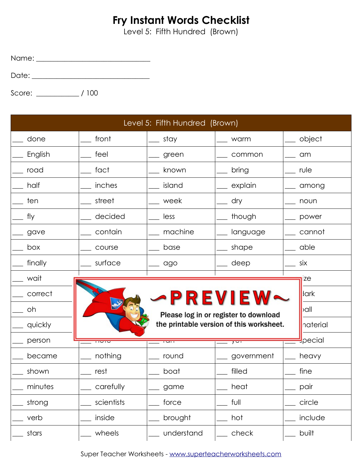Level 5: Fifth Hundred (Brown)

Name: \_\_\_\_\_\_\_\_\_\_\_\_\_\_\_\_\_\_\_\_\_\_\_\_\_\_\_\_\_\_\_\_

Date: \_\_\_\_\_\_\_\_\_\_\_\_\_\_\_\_\_\_\_\_\_\_\_\_\_\_\_\_\_\_\_\_\_

| Level 5: Fifth Hundred (Brown) |                |                          |                                                     |                           |  |
|--------------------------------|----------------|--------------------------|-----------------------------------------------------|---------------------------|--|
| done                           | front          | stay                     | warm                                                | object                    |  |
| English                        | feel           | _green                   | common                                              | am                        |  |
| road                           | fact           | known                    | bring                                               | rule                      |  |
| half                           | inches         | island                   | explain                                             | among                     |  |
| ten                            | street         | week                     | dry                                                 | noun                      |  |
| fly                            | decided        | less                     | though                                              | power                     |  |
| gave                           | contain        | machine                  | language                                            | cannot                    |  |
| box                            | course         | base                     | shape                                               | able                      |  |
| finally                        | surface        | _ ago                    | deep                                                | six                       |  |
| wait                           |                |                          |                                                     | <sub>17e</sub>            |  |
| correct                        |                |                          | -PREVIEW~                                           | lark                      |  |
| oh                             |                |                          | Please log in or register to download               | $\overline{\mathsf{val}}$ |  |
| quickly                        |                |                          | the printable version of this worksheet.            | naterial                  |  |
| person                         | <u>- 11010</u> | $\overline{\phantom{a}}$ | $\overline{\phantom{0}}$ y $\overline{\phantom{0}}$ | <b>S</b> pecial           |  |
| became                         | nothing        | round                    | government                                          | heavy                     |  |
| shown                          | rest           | boat                     | filled                                              | fine                      |  |
| minutes                        | carefully      | game                     | heat                                                | pair                      |  |
| strong                         | scientists     | force                    | full                                                | circle                    |  |
| verb                           | inside         | brought                  | hot                                                 | include                   |  |
| stars                          | wheels         | understand               | check                                               | built                     |  |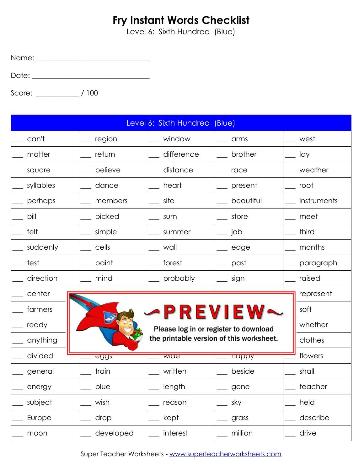Level 6: Sixth Hundred (Blue)

Name: \_\_\_\_\_\_\_\_\_\_\_\_\_\_\_\_\_\_\_\_\_\_\_\_\_\_\_\_\_\_\_\_

Date: \_\_\_\_\_\_\_\_\_\_\_\_\_\_\_\_\_\_\_\_\_\_\_\_\_\_\_\_\_\_\_\_\_

|           |             | Level 6: Sixth Hundred (Blue)            |               |             |
|-----------|-------------|------------------------------------------|---------------|-------------|
| can't     | region      | window                                   | arms          | west        |
| matter    | return      | difference                               | brother       | lay         |
| square    | believe     | distance                                 | race          | weather     |
| syllables | dance       | heart                                    | present       | root        |
| perhaps   | members     | site                                     | beautiful     | instruments |
| bill      | picked      | sum                                      | store         | meet        |
| felt      | simple      | summer                                   | job           | third       |
| suddenly  | cells       | wall                                     | edge          | months      |
| test      | paint       | forest                                   | past          | paragraph   |
| direction | mind        | probably                                 | sign          | raised      |
| center    |             |                                          |               | represent   |
| farmers   |             |                                          | -PREVIEW~     | soft        |
| ready     |             | Please log in or register to download    |               | whether     |
| anything  |             | the printable version of this worksheet. |               | clothes     |
| divided   | <u>eââz</u> | wiue                                     | <b>TIGPPY</b> | flowers     |
| general   | train       | written                                  | beside        | shall       |
| energy    | blue        | length                                   | gone          | teacher     |
| subject   | wish        | reason                                   | sky           | held        |
| Europe    | drop        | kept                                     | grass         | describe    |
| moon      | developed   | interest                                 | million       | drive       |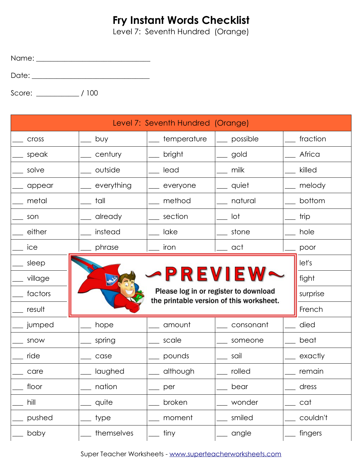Level 7: Seventh Hundred (Orange)

Name: \_\_\_\_\_\_\_\_\_\_\_\_\_\_\_\_\_\_\_\_\_\_\_\_\_\_\_\_\_\_\_\_

Date: \_\_\_\_\_\_\_\_\_\_\_\_\_\_\_\_\_\_\_\_\_\_\_\_\_\_\_\_\_\_\_\_\_

|              |            | Level 7: Seventh Hundred (Orange) |                                                                                   |          |
|--------------|------------|-----------------------------------|-----------------------------------------------------------------------------------|----------|
| <b>Cross</b> | buy        | temperature                       | possible                                                                          | fraction |
| speak        | century    | bright                            | gold                                                                              | Africa   |
| solve        | outside    | lead                              | milk                                                                              | killed   |
| appear       | everything | everyone                          | quiet                                                                             | melody   |
| metal        | tall       | method                            | natural                                                                           | bottom   |
| son          | already    | section                           | lot                                                                               | trip     |
| either       | instead    | lake                              | stone                                                                             | hole     |
| ice          | phrase     | iron                              | act                                                                               | poor     |
| sleep        |            |                                   |                                                                                   | let's    |
| village      |            | PREVIEW                           |                                                                                   | fight    |
| factors      |            |                                   | Please log in or register to download<br>the printable version of this worksheet. | surprise |
| result       |            |                                   |                                                                                   | French   |
| jumped       | hope       | amount                            | consonant                                                                         | died     |
| snow         | spring     | scale                             | someone                                                                           | beat     |
| ride         | case       | pounds                            | sail                                                                              | exactly  |
| care         | laughed    | although                          | rolled                                                                            | remain   |
| floor        | nation     | per                               | bear                                                                              | dress    |
| hill         | quite      | broken                            | wonder                                                                            | cat      |
| pushed       | type       | moment                            | smiled                                                                            | couldn't |
| baby         | themselves | tiny                              | angle                                                                             | fingers  |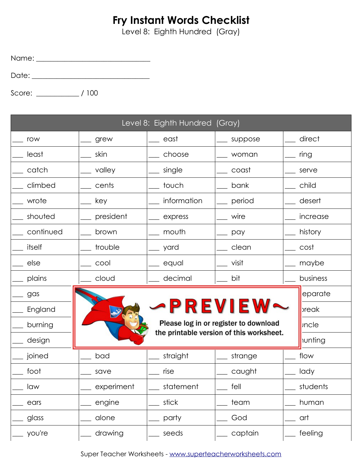Level 8: Eighth Hundred (Gray)

Name: \_\_\_\_\_\_\_\_\_\_\_\_\_\_\_\_\_\_\_\_\_\_\_\_\_\_\_\_\_\_\_\_

Date: \_\_\_\_\_\_\_\_\_\_\_\_\_\_\_\_\_\_\_\_\_\_\_\_\_\_\_\_\_\_\_\_\_

|           |            | Level 8: Eighth Hundred (Gray) |                                          |              |
|-----------|------------|--------------------------------|------------------------------------------|--------------|
| row       | grew       | east                           | suppose                                  | direct       |
| least     | skin       | choose                         | woman                                    | ring         |
| catch     | valley     | single                         | coast                                    | serve        |
| climbed   | cents      | touch                          | bank                                     | child        |
| wrote     | key        | information                    | period                                   | desert       |
| shouted   | president  | express                        | wire                                     | increase     |
| continued | brown      | mouth                          | pay                                      | history      |
| itself    | trouble    | yard                           | clean                                    | cost         |
| else      | cool       | equal                          | visit                                    | maybe        |
| plains    | cloud      | decimal                        | bit                                      | business     |
| gas       |            |                                |                                          | eparate      |
| England   |            |                                | PREVIEW                                  | preak        |
| burning   |            |                                | Please log in or register to download    | <b>Incle</b> |
| design    |            |                                | the printable version of this worksheet. | nunting      |
| joined    | bad        | straight                       | strange                                  | flow         |
| foot      | save       | rise                           | caught                                   | lady         |
| law       | experiment | statement                      | fell                                     | students     |
| ears      | engine     | stick                          | team                                     | human        |
| glass     | alone      | party                          | God                                      | art          |
| you're    | drawing    | seeds                          | captain                                  | feeling      |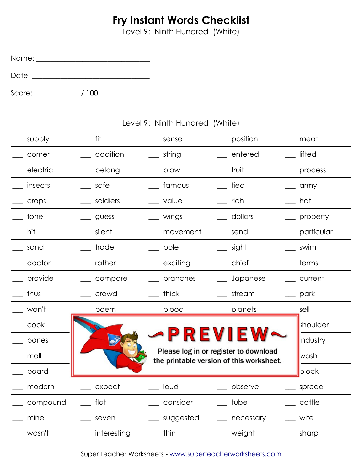Level 9: Ninth Hundred (White)

Name: \_\_\_\_\_\_\_\_\_\_\_\_\_\_\_\_\_\_\_\_\_\_\_\_\_\_\_\_\_\_\_\_

Date: \_\_\_\_\_\_\_\_\_\_\_\_\_\_\_\_\_\_\_\_\_\_\_\_\_\_\_\_\_\_\_\_\_

Score: \_\_\_\_\_\_\_\_\_\_\_\_ / 100

| Level 9: Ninth Hundred (White) |             |           |                                                                                   |            |
|--------------------------------|-------------|-----------|-----------------------------------------------------------------------------------|------------|
| supply                         | fit         | sense     | position                                                                          | meat       |
| corner                         | addition    | string    | entered                                                                           | lifted     |
| electric                       | belong      | blow      | fruit                                                                             | process    |
| insects                        | safe        | famous    | tied                                                                              | army       |
| crops                          | soldiers    | value     | rich                                                                              | hat        |
| tone                           | guess       | wings     | dollars                                                                           | property   |
| hit                            | silent      | movement  | send                                                                              | particular |
| sand                           | trade       | pole      | sight                                                                             | swim       |
| doctor                         | rather      | exciting  | chief                                                                             | terms      |
| provide                        | compare     | branches  | Japanese                                                                          | current    |
| thus                           | crowd       | thick     | stream                                                                            | park       |
| won't                          | poem        | blood     | planets                                                                           | sell       |
| cook                           |             |           |                                                                                   | shoulder   |
| bones                          |             |           | PREVIEW                                                                           | ndustry    |
| mall                           |             |           | Please log in or register to download<br>the printable version of this worksheet. | wash       |
| board                          |             |           |                                                                                   | plock      |
| modern                         | expect      | loud      | observe                                                                           | spread     |
| compound                       | flat        | consider  | tube                                                                              | cattle     |
| mine                           | seven       | suggested | necessary                                                                         | wife       |
| wasn't                         | interesting | thin      | weight                                                                            | sharp      |

Super Teacher Worksheets - [www.superteacherworksheets.com](http://www.superteacherworksheets.com/)